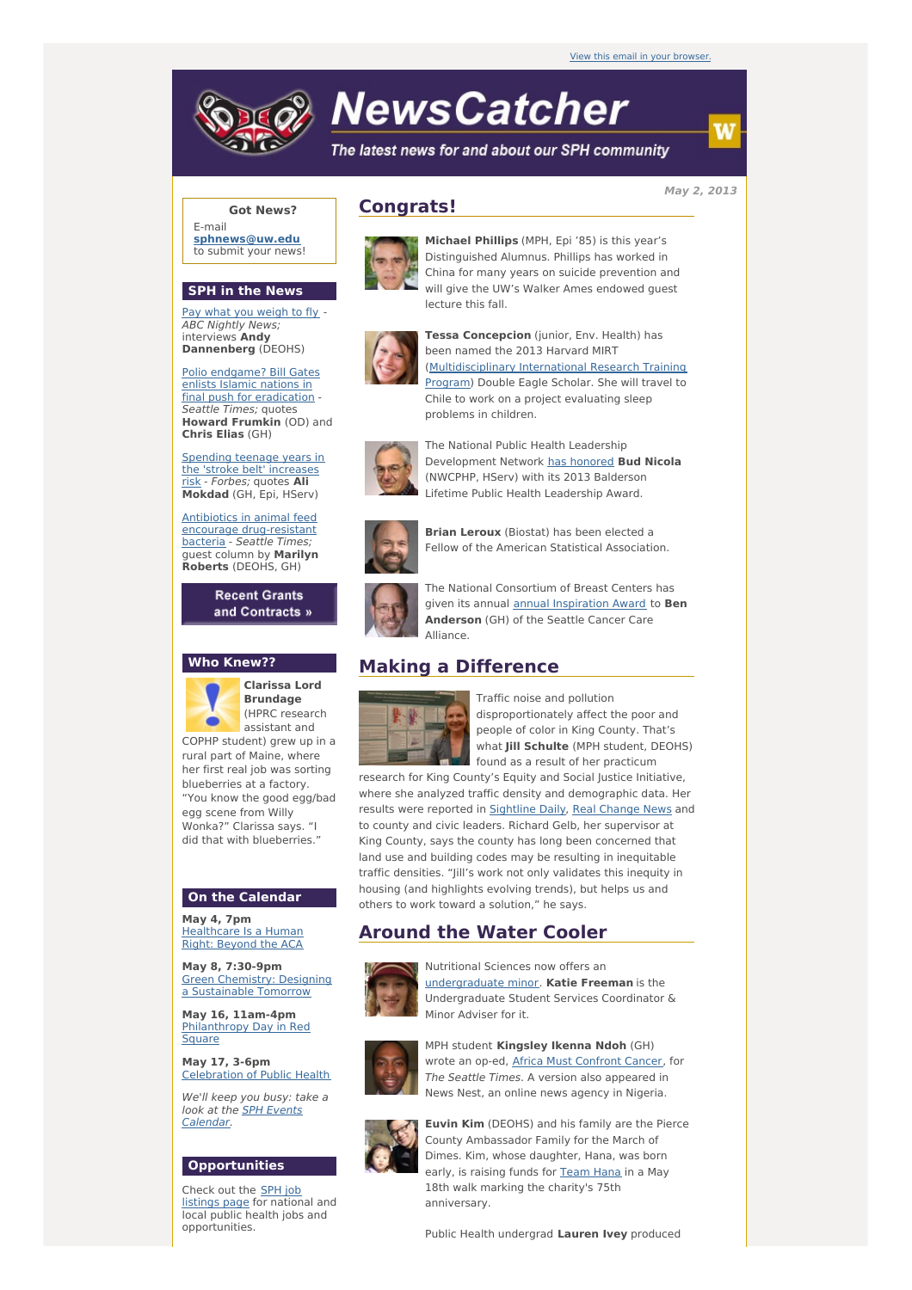# **NewsCatcher**

The latest news for and about our SPH community

**May 2, 2013**

### **Got News?**

E-mail **[sphnews@uw.edu](mailto:sphnews@uw.edu)** to submit your news!

#### **SPH in the News**

Pay what you [weigh](http://engage.washington.edu/site/R?i=1hwveSgtes5uHbxLXoihMw) to fly - ABC Nightly News; interviews **Andy Dannenberg** (DEOHS)

Polio endgame? Bill Gates enlists Islamic nations in final push for [eradication](http://engage.washington.edu/site/R?i=JmWGu5J8Vq2Hc90bIv9_RQ) - Seattle Times; quotes **Howard Frumkin** (OD) and **Chris Elias** (GH)

Spending teenage years in the 'stroke belt' [increases](http://engage.washington.edu/site/R?i=HRU7BaUCOdNnHhliJ9EEew) risk - Forbes; quotes **Ali Mokdad** (GH, Epi, HServ)

Antibiotics in animal feed encourage [drug-resistant](http://engage.washington.edu/site/R?i=OHp9h3DU-QfjJHLIfAwpSA) bacteria - Seattle Times; guest column by **Marilyn Roberts** (DEOHS, GH)

> **Recent Grants** and Contracts »

#### **Who Knew??**

**Clarissa Lord Brundage** (HPRC research assistant and COPHP student) grew up in a rural part of Maine, where her first real job was sorting blueberries at a factory. "You know the good egg/bad egg scene from Willy Wonka?" Clarissa says. "I did that with blueberries."

#### **On the Calendar**

**May 4, 7pm** [Healthcare](http://engage.washington.edu/site/R?i=Ta1tdlU9bZo3_0Gx_VUOig) Is a Human Right: Beyond the ACA

**May 8, 7:30-9pm** Green Chemistry: Designing a [Sustainable](http://engage.washington.edu/site/R?i=qgD-Zs1Fqv4AlMAUwjdLOw) Tomorrow

**May 16, 11am-4pm** [Philanthropy](http://engage.washington.edu/site/R?i=npxUS-eaj0ZQt07Hf7hHWg) Day in Red **Square** 

**May 17, 3-6pm** [Celebration](http://engage.washington.edu/site/R?i=oUkHTFXhP6pN2ztlVrYcGA) of Public Health

We'll keep you busy: take a look at the SPH Events [Calendar.](http://engage.washington.edu/site/R?i=ooVKnb-Wd7TNLnzbfGMqXA)

### **Opportunities**

Check out the SPH job [listings](http://engage.washington.edu/site/R?i=9lPBo97VFE6_nuuMAwXtVA) page for national and local public health jobs and opportunities.

## **Congrats!**



**Michael Phillips** (MPH, Epi '85) is this year's Distinguished Alumnus. Phillips has worked in China for many years on suicide prevention and will give the UW's Walker Ames endowed guest lecture this fall.



**Tessa Concepcion** (junior, Env. Health) has been named the 2013 Harvard MIRT [\(Multidisciplinary](http://engage.washington.edu/site/R?i=ZPBfujbYaj2zvsg6jlnwCg) International Research Training Program) Double Eagle Scholar. She will travel to Chile to work on a project evaluating sleep problems in children.



The National Public Health Leadership Development Network has [honored](http://engage.washington.edu/site/R?i=hU5HJ5ZaOnacDEeOJ2ZLTA) **Bud Nicola** (NWCPHP, HServ) with its 2013 Balderson Lifetime Public Health Leadership Award.



**Brian Leroux** (Biostat) has been elected a Fellow of the American Statistical Association.



The National Consortium of Breast Centers has given its annual annual [Inspiration](http://engage.washington.edu/site/R?i=qEmU4Q-vDURrSQNHMtw9Qg) Award to **Ben Anderson** (GH) of the Seattle Cancer Care Alliance.

# **Making a Difference**



Traffic noise and pollution disproportionately affect the poor and people of color in King County. That's what **Jill Schulte** (MPH student, DEOHS) found as a result of her practicum

research for King County's Equity and Social Justice Initiative, where she analyzed traffic density and demographic data. Her results were reported in [Sightline](http://engage.washington.edu/site/R?i=5c_KCQiJGmj8uT7H3GFaew) Daily, Real [Change](http://engage.washington.edu/site/R?i=INVg0fKhDGtgG0_brBXLQw) News and to county and civic leaders. Richard Gelb, her supervisor at King County, says the county has long been concerned that land use and building codes may be resulting in inequitable traffic densities. "Jill's work not only validates this inequity in housing (and highlights evolving trends), but helps us and others to work toward a solution," he says.

# **Around the Water Cooler**



Nutritional Sciences now offers an [undergraduate](http://engage.washington.edu/site/R?i=RbJw2567En-cu0dazRtEkw) minor. **Katie Freeman** is the Undergraduate Student Services Coordinator & Minor Adviser for it.



MPH student **Kingsley Ikenna Ndoh** (GH) wrote an op-ed, Africa Must [Confront](http://engage.washington.edu/site/R?i=jRS_-48o9uCiVqYTMFvGJA) Cancer, for The Seattle Times. A version also appeared in News Nest, an online news agency in Nigeria.



**Euvin Kim** (DEOHS) and his family are the Pierce County Ambassador Family for the March of Dimes. Kim, whose daughter, Hana, was born early, is raising funds for [Team](http://engage.washington.edu/site/R?i=2ObX6izukQCMSrTCi4vNlA) Hana in a May 18th walk marking the charity's 75th anniversary.

Public Health undergrad **Lauren Ivey** produced